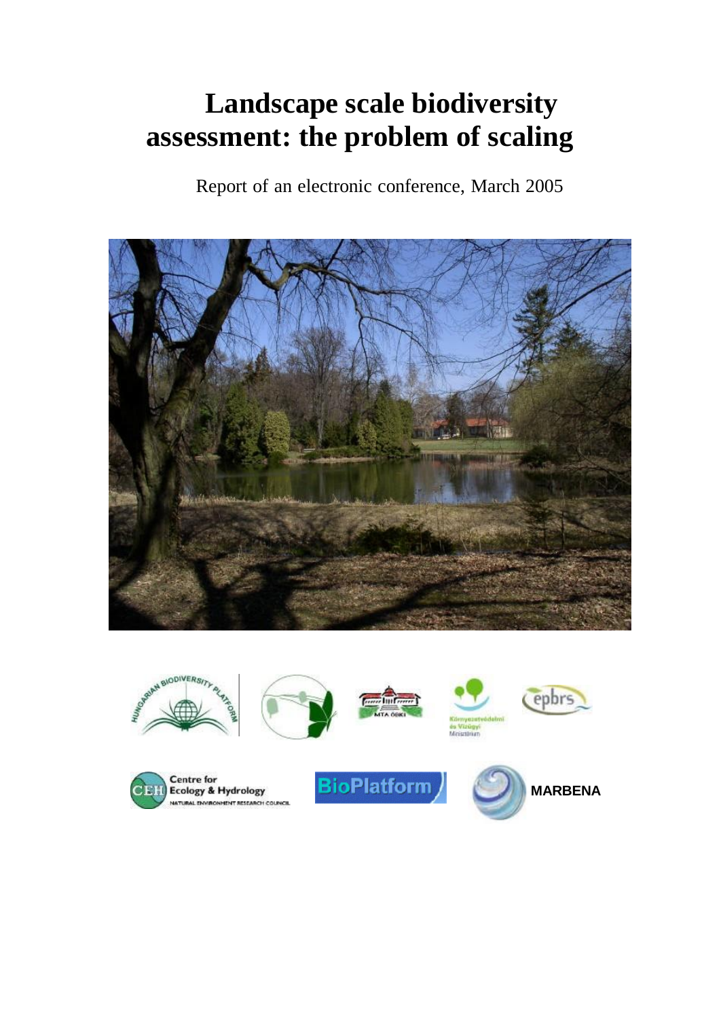# **Landscape scale biodiversity assessment: the problem of scaling**

Report of an electronic conference, March 2005



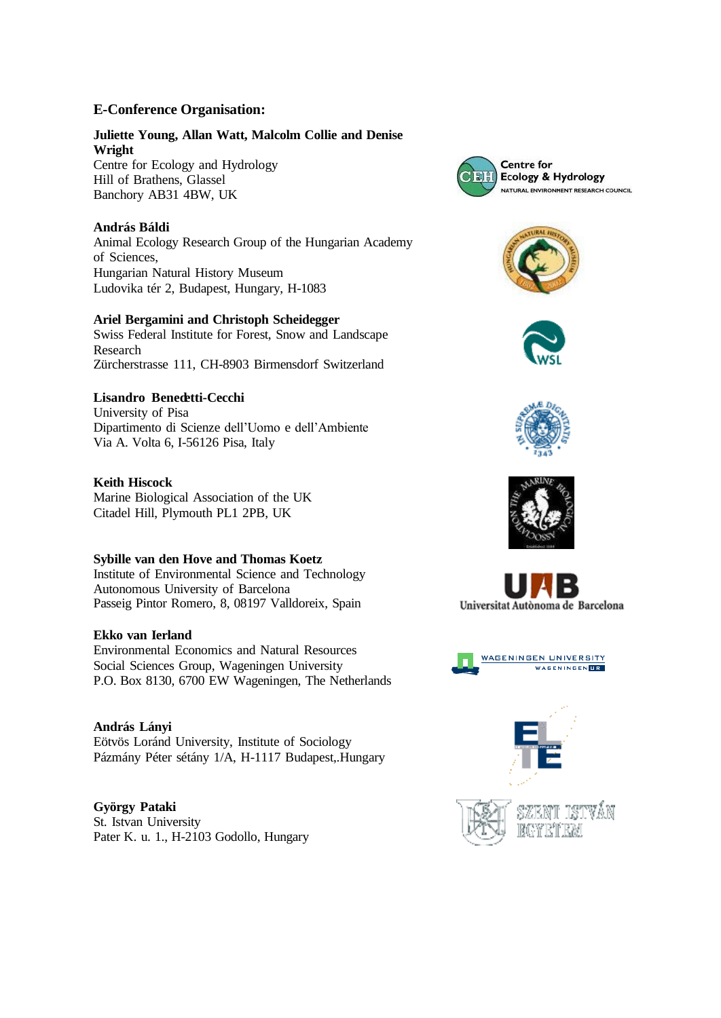#### **E-Conference Organisation:**

#### **Juliette Young, Allan Watt, Malcolm Collie and Denise Wright**

Centre for Ecology and Hydrology Hill of Brathens, Glassel Banchory AB31 4BW, UK

#### **András Báldi**

Animal Ecology Research Group of the Hungarian Academy of Sciences, Hungarian Natural History Museum Ludovika tér 2, Budapest, Hungary, H-1083

#### **Ariel Bergamini and Christoph Scheidegger**

Swiss Federal Institute for Forest, Snow and Landscape Research Zürcherstrasse 111, CH-8903 Birmensdorf Switzerland

#### **Lisandro Benedetti-Cecchi**

University of Pisa Dipartimento di Scienze dell'Uomo e dell'Ambiente Via A. Volta 6, I-56126 Pisa, Italy

#### **Keith Hiscock**

Marine Biological Association of the UK Citadel Hill, Plymouth PL1 2PB, UK

#### **Sybille van den Hove and Thomas Koetz**

Institute of Environmental Science and Technology Autonomous University of Barcelona Passeig Pintor Romero, 8, 08197 Valldoreix, Spain

#### **Ekko van Ierland**

Environmental Economics and Natural Resources Social Sciences Group, Wageningen University P.O. Box 8130, 6700 EW Wageningen, The Netherlands

**András Lányi** Eötvös Loránd University, Institute of Sociology Pázmány Péter sétány 1/A, H-1117 Budapest,.Hungary

**György Pataki** St. Istvan University Pater K. u. 1., H-2103 Godollo, Hungary















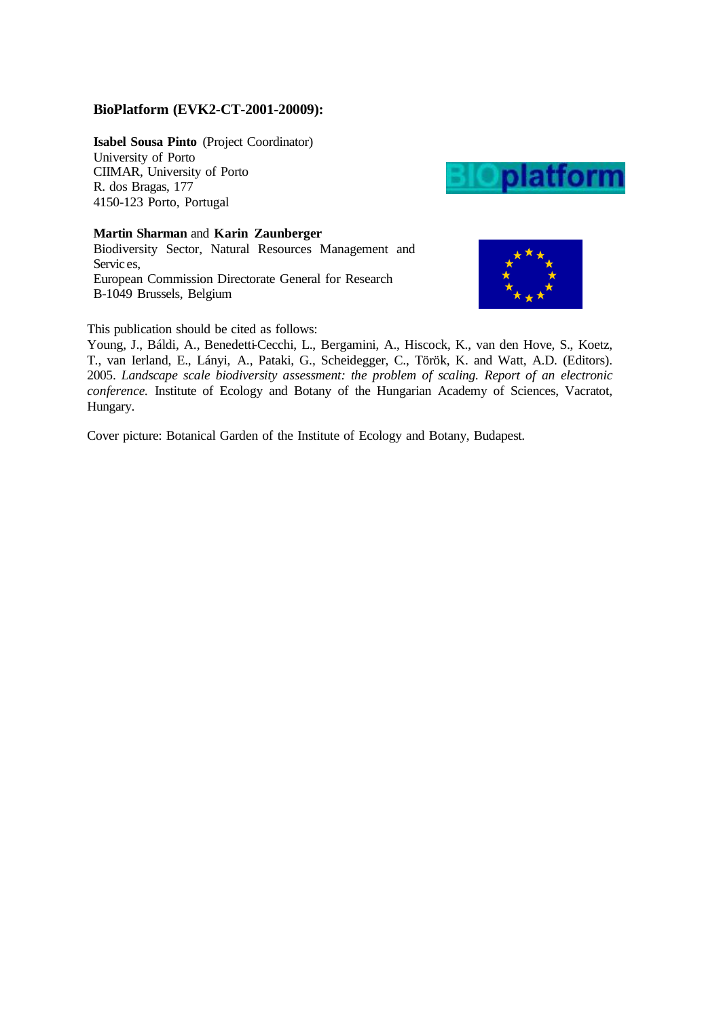#### **BioPlatform (EVK2-CT-2001-20009):**

**Isabel Sousa Pinto** (Project Coordinator) University of Porto CIIMAR, University of Porto R. dos Bragas, 177 4150-123 Porto, Portugal

**Martin Sharman** and **Karin Zaunberger** Biodiversity Sector, Natural Resources Management and Servic es, European Commission Directorate General for Research B-1049 Brussels, Belgium





This publication should be cited as follows:

Young, J., Báldi, A., Benedetti-Cecchi, L., Bergamini, A., Hiscock, K., van den Hove, S., Koetz, T., van Ierland, E., Lányi, A., Pataki, G., Scheidegger, C., Török, K. and Watt, A.D. (Editors). 2005. *Landscape scale biodiversity assessment: the problem of scaling. Report of an electronic conference.* Institute of Ecology and Botany of the Hungarian Academy of Sciences, Vacratot, Hungary.

Cover picture: Botanical Garden of the Institute of Ecology and Botany, Budapest.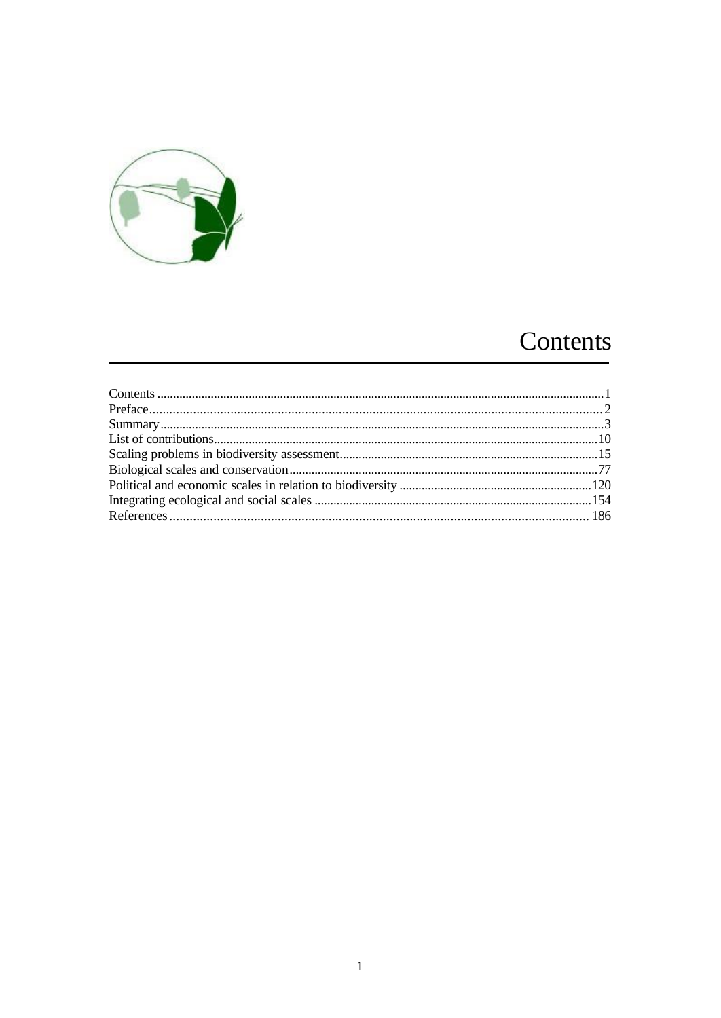

## Contents

<span id="page-3-0"></span>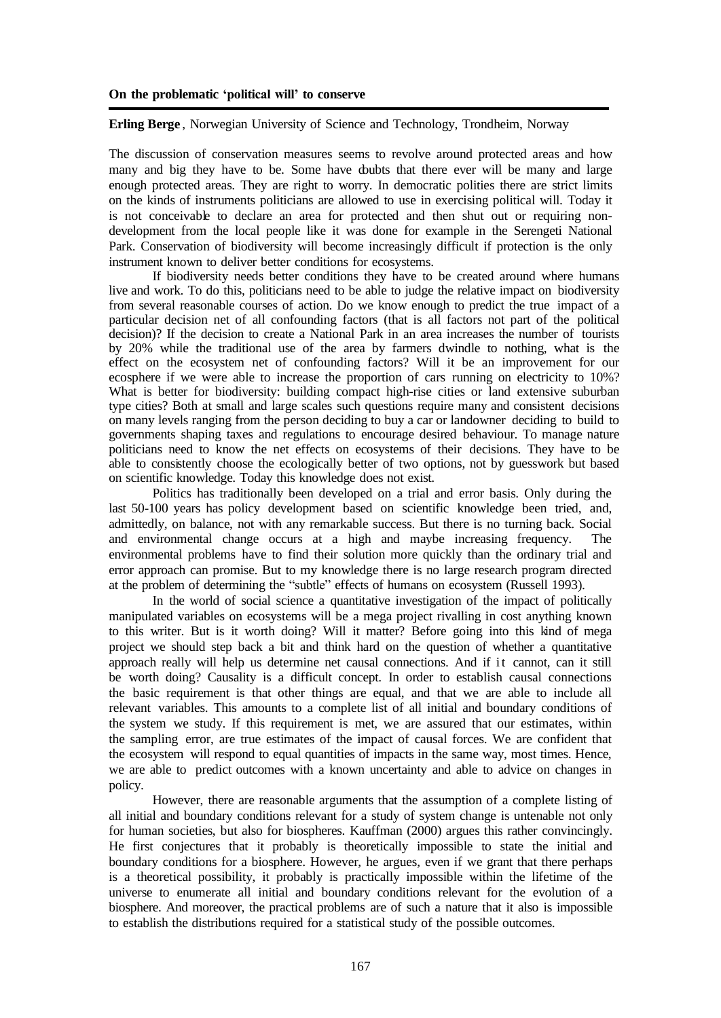#### **Erling Berge** , Norwegian University of Science and Technology, Trondheim, Norway

The discussion of conservation measures seems to revolve around protected areas and how many and big they have to be. Some have doubts that there ever will be many and large enough protected areas. They are right to worry. In democratic polities there are strict limits on the kinds of instruments politicians are allowed to use in exercising political will. Today it is not conceivable to declare an area for protected and then shut out or requiring nondevelopment from the local people like it was done for example in the Serengeti National Park. Conservation of biodiversity will become increasingly difficult if protection is the only instrument known to deliver better conditions for ecosystems.

If biodiversity needs better conditions they have to be created around where humans live and work. To do this, politicians need to be able to judge the relative impact on biodiversity from several reasonable courses of action. Do we know enough to predict the true impact of a particular decision net of all confounding factors (that is all factors not part of the political decision)? If the decision to create a National Park in an area increases the number of tourists by 20% while the traditional use of the area by farmers dwindle to nothing, what is the effect on the ecosystem net of confounding factors? Will it be an improvement for our ecosphere if we were able to increase the proportion of cars running on electricity to 10%? What is better for biodiversity: building compact high-rise cities or land extensive suburban type cities? Both at small and large scales such questions require many and consistent decisions on many levels ranging from the person deciding to buy a car or landowner deciding to build to governments shaping taxes and regulations to encourage desired behaviour. To manage nature politicians need to know the net effects on ecosystems of their decisions. They have to be able to consistently choose the ecologically better of two options, not by guesswork but based on scientific knowledge. Today this knowledge does not exist.

Politics has traditionally been developed on a trial and error basis. Only during the last 50-100 years has policy development based on scientific knowledge been tried, and, admittedly, on balance, not with any remarkable success. But there is no turning back. Social and environmental change occurs at a high and maybe increasing frequency. The environmental problems have to find their solution more quickly than the ordinary trial and error approach can promise. But to my knowledge there is no large research program directed at the problem of determining the "subtle" effects of humans on ecosystem (Russell 1993).

In the world of social science a quantitative investigation of the impact of politically manipulated variables on ecosystems will be a mega project rivalling in cost anything known to this writer. But is it worth doing? Will it matter? Before going into this kind of mega project we should step back a bit and think hard on the question of whether a quantitative approach really will help us determine net causal connections. And if it cannot, can it still be worth doing? Causality is a difficult concept. In order to establish causal connections the basic requirement is that other things are equal, and that we are able to include all relevant variables. This amounts to a complete list of all initial and boundary conditions of the system we study. If this requirement is met, we are assured that our estimates, within the sampling error, are true estimates of the impact of causal forces. We are confident that the ecosystem will respond to equal quantities of impacts in the same way, most times. Hence, we are able to predict outcomes with a known uncertainty and able to advice on changes in policy.

However, there are reasonable arguments that the assumption of a complete listing of all initial and boundary conditions relevant for a study of system change is untenable not only for human societies, but also for biospheres. Kauffman (2000) argues this rather convincingly. He first conjectures that it probably is theoretically impossible to state the initial and boundary conditions for a biosphere. However, he argues, even if we grant that there perhaps is a theoretical possibility, it probably is practically impossible within the lifetime of the universe to enumerate all initial and boundary conditions relevant for the evolution of a biosphere. And moreover, the practical problems are of such a nature that it also is impossible to establish the distributions required for a statistical study of the possible outcomes.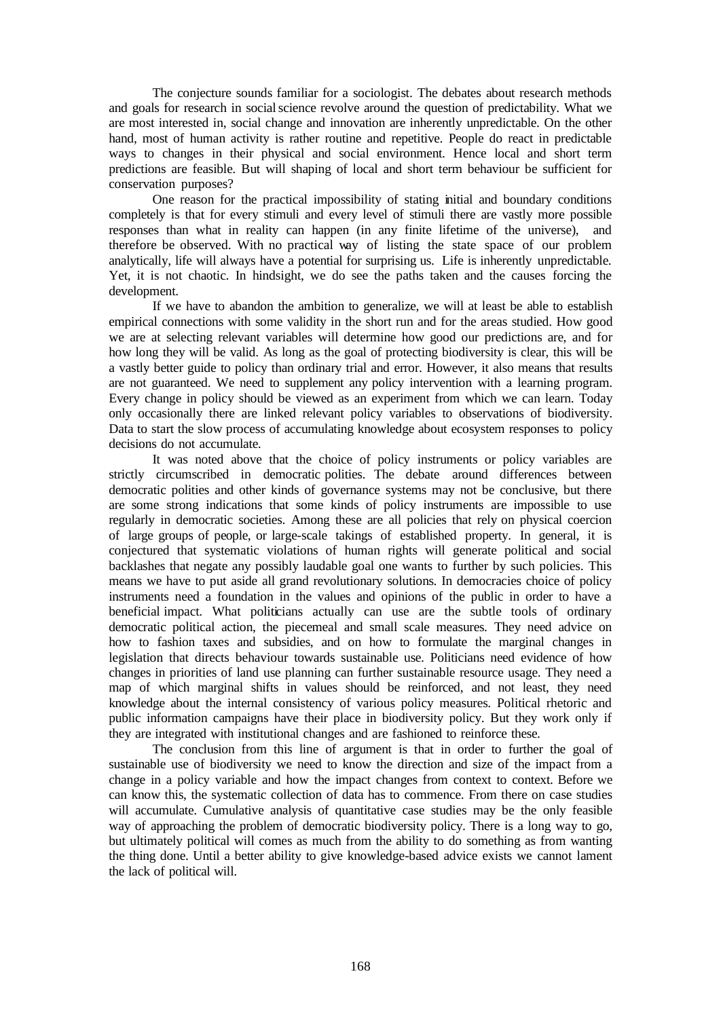The conjecture sounds familiar for a sociologist. The debates about research methods and goals for research in socialscience revolve around the question of predictability. What we are most interested in, social change and innovation are inherently unpredictable. On the other hand, most of human activity is rather routine and repetitive. People do react in predictable ways to changes in their physical and social environment. Hence local and short term predictions are feasible. But will shaping of local and short term behaviour be sufficient for conservation purposes?

One reason for the practical impossibility of stating initial and boundary conditions completely is that for every stimuli and every level of stimuli there are vastly more possible responses than what in reality can happen (in any finite lifetime of the universe), and therefore be observed. With no practical way of listing the state space of our problem analytically, life will always have a potential for surprising us. Life is inherently unpredictable. Yet, it is not chaotic. In hindsight, we do see the paths taken and the causes forcing the development.

If we have to abandon the ambition to generalize, we will at least be able to establish empirical connections with some validity in the short run and for the areas studied. How good we are at selecting relevant variables will determine how good our predictions are, and for how long they will be valid. As long as the goal of protecting biodiversity is clear, this will be a vastly better guide to policy than ordinary trial and error. However, it also means that results are not guaranteed. We need to supplement any policy intervention with a learning program. Every change in policy should be viewed as an experiment from which we can learn. Today only occasionally there are linked relevant policy variables to observations of biodiversity. Data to start the slow process of accumulating knowledge about ecosystem responses to policy decisions do not accumulate.

It was noted above that the choice of policy instruments or policy variables are strictly circumscribed in democratic polities. The debate around differences between democratic polities and other kinds of governance systems may not be conclusive, but there are some strong indications that some kinds of policy instruments are impossible to use regularly in democratic societies. Among these are all policies that rely on physical coercion of large groups of people, or large-scale takings of established property. In general, it is conjectured that systematic violations of human rights will generate political and social backlashes that negate any possibly laudable goal one wants to further by such policies. This means we have to put aside all grand revolutionary solutions. In democracies choice of policy instruments need a foundation in the values and opinions of the public in order to have a beneficial impact. What politicians actually can use are the subtle tools of ordinary democratic political action, the piecemeal and small scale measures. They need advice on how to fashion taxes and subsidies, and on how to formulate the marginal changes in legislation that directs behaviour towards sustainable use. Politicians need evidence of how changes in priorities of land use planning can further sustainable resource usage. They need a map of which marginal shifts in values should be reinforced, and not least, they need knowledge about the internal consistency of various policy measures. Political rhetoric and public information campaigns have their place in biodiversity policy. But they work only if they are integrated with institutional changes and are fashioned to reinforce these.

The conclusion from this line of argument is that in order to further the goal of sustainable use of biodiversity we need to know the direction and size of the impact from a change in a policy variable and how the impact changes from context to context. Before we can know this, the systematic collection of data has to commence. From there on case studies will accumulate. Cumulative analysis of quantitative case studies may be the only feasible way of approaching the problem of democratic biodiversity policy. There is a long way to go, but ultimately political will comes as much from the ability to do something as from wanting the thing done. Until a better ability to give knowledge-based advice exists we cannot lament the lack of political will.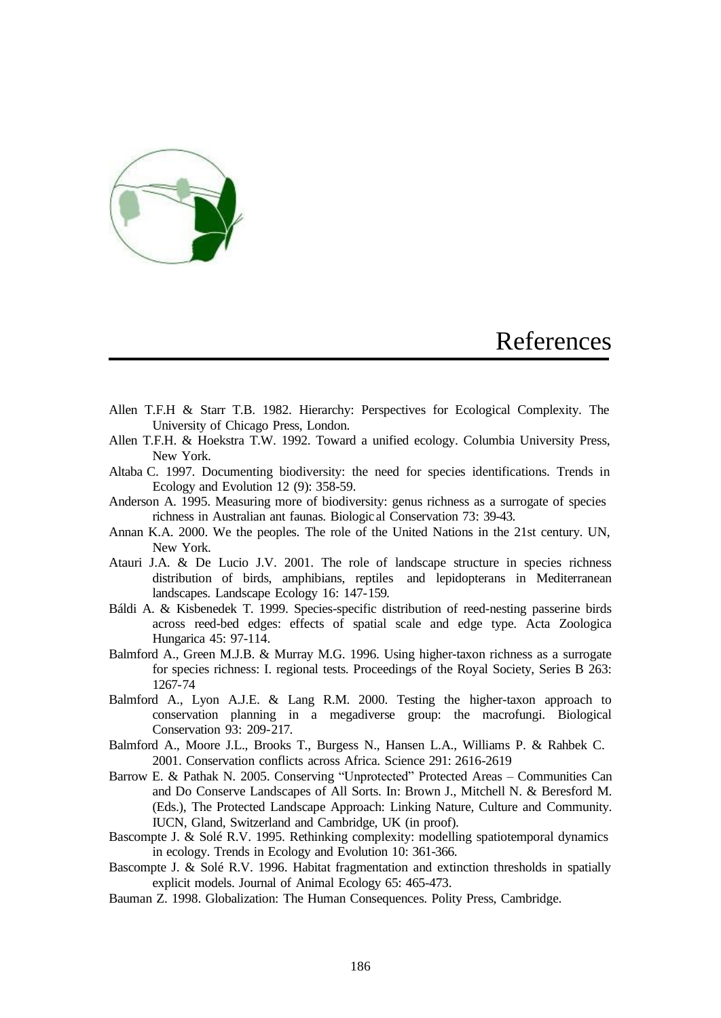

### References

- <span id="page-6-0"></span>Allen T.F.H & Starr T.B. 1982. Hierarchy: Perspectives for Ecological Complexity. The University of Chicago Press, London.
- Allen T.F.H. & Hoekstra T.W. 1992. Toward a unified ecology. Columbia University Press, New York.
- Altaba C. 1997. Documenting biodiversity: the need for species identifications. Trends in Ecology and Evolution 12 (9): 358-59.
- Anderson A. 1995. Measuring more of biodiversity: genus richness as a surrogate of species richness in Australian ant faunas. Biologic al Conservation 73: 39-43.
- Annan K.A. 2000. We the peoples. The role of the United Nations in the 21st century. UN, New York.
- Atauri J.A. & De Lucio J.V. 2001. The role of landscape structure in species richness distribution of birds, amphibians, reptiles and lepidopterans in Mediterranean landscapes. Landscape Ecology 16: 147-159.
- Báldi A. & Kisbenedek T. 1999. Species-specific distribution of reed-nesting passerine birds across reed-bed edges: effects of spatial scale and edge type. Acta Zoologica Hungarica 45: 97-114.
- Balmford A., Green M.J.B. & Murray M.G. 1996. Using higher-taxon richness as a surrogate for species richness: I. regional tests. Proceedings of the Royal Society, Series B 263: 1267-74
- Balmford A., Lyon A.J.E. & Lang R.M. 2000. Testing the higher-taxon approach to conservation planning in a megadiverse group: the macrofungi. Biological Conservation 93: 209-217.
- Balmford A., Moore J.L., Brooks T., Burgess N., Hansen L.A., Williams P. & Rahbek C. 2001. Conservation conflicts across Africa. Science 291: 2616-2619
- Barrow E. & Pathak N. 2005. Conserving "Unprotected" Protected Areas Communities Can and Do Conserve Landscapes of All Sorts. In: Brown J., Mitchell N. & Beresford M. (Eds.), The Protected Landscape Approach: Linking Nature, Culture and Community. IUCN, Gland, Switzerland and Cambridge, UK (in proof).
- Bascompte J. & Solé R.V. 1995. Rethinking complexity: modelling spatiotemporal dynamics in ecology. Trends in Ecology and Evolution 10: 361-366.
- Bascompte J. & Solé R.V. 1996. Habitat fragmentation and extinction thresholds in spatially explicit models. Journal of Animal Ecology 65: 465-473.
- Bauman Z. 1998. Globalization: The Human Consequences. Polity Press, Cambridge.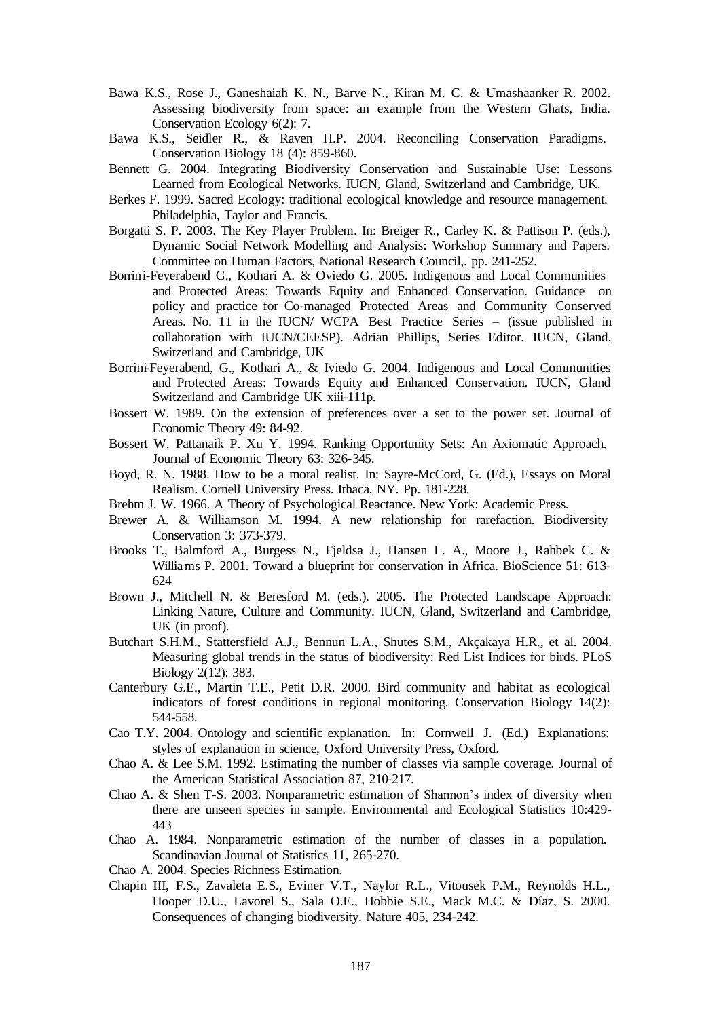- Bawa K.S., Rose J., Ganeshaiah K. N., Barve N., Kiran M. C. & Umashaanker R. 2002. Assessing biodiversity from space: an example from the Western Ghats, India. Conservation Ecology 6(2): 7.
- Bawa K.S., Seidler R., & Raven H.P. 2004. Reconciling Conservation Paradigms. Conservation Biology 18 (4): 859-860.
- Bennett G. 2004. Integrating Biodiversity Conservation and Sustainable Use: Lessons Learned from Ecological Networks. IUCN, Gland, Switzerland and Cambridge, UK.
- Berkes F. 1999. Sacred Ecology: traditional ecological knowledge and resource management. Philadelphia, Taylor and Francis.
- Borgatti S. P. 2003. The Key Player Problem. In: Breiger R., Carley K. & Pattison P. (eds.), Dynamic Social Network Modelling and Analysis: Workshop Summary and Papers. Committee on Human Factors, National Research Council,. pp. 241-252.
- Borrini-Feyerabend G., Kothari A. & Oviedo G. 2005. Indigenous and Local Communities and Protected Areas: Towards Equity and Enhanced Conservation. Guidance on policy and practice for Co-managed Protected Areas and Community Conserved Areas. No. 11 in the IUCN/ WCPA Best Practice Series – (issue published in collaboration with IUCN/CEESP). Adrian Phillips, Series Editor. IUCN, Gland, Switzerland and Cambridge, UK
- Borrini-Feyerabend, G., Kothari A., & Iviedo G. 2004. Indigenous and Local Communities and Protected Areas: Towards Equity and Enhanced Conservation. IUCN, Gland Switzerland and Cambridge UK xiii-111p.
- Bossert W. 1989. On the extension of preferences over a set to the power set. Journal of Economic Theory 49: 84-92.
- Bossert W. Pattanaik P. Xu Y. 1994. Ranking Opportunity Sets: An Axiomatic Approach. Journal of Economic Theory 63: 326-345.
- Boyd, R. N. 1988. How to be a moral realist. In: Sayre-McCord, G. (Ed.), Essays on Moral Realism. Cornell University Press. Ithaca, NY. Pp. 181-228.
- Brehm J. W. 1966. A Theory of Psychological Reactance. New York: Academic Press.
- Brewer A. & Williamson M. 1994. A new relationship for rarefaction. Biodiversity Conservation 3: 373-379.
- Brooks T., Balmford A., Burgess N., Fjeldsa J., Hansen L. A., Moore J., Rahbek C. & Williams P. 2001. Toward a blueprint for conservation in Africa. BioScience 51: 613- 624
- Brown J., Mitchell N. & Beresford M. (eds.). 2005. The Protected Landscape Approach: Linking Nature, Culture and Community. IUCN, Gland, Switzerland and Cambridge, UK (in proof).
- Butchart S.H.M., Stattersfield A.J., Bennun L.A., Shutes S.M., Akçakaya H.R., et al. 2004. Measuring global trends in the status of biodiversity: Red List Indices for birds. PLoS Biology 2(12): 383.
- Canterbury G.E., Martin T.E., Petit D.R. 2000. Bird community and habitat as ecological indicators of forest conditions in regional monitoring. Conservation Biology 14(2): 544-558.
- Cao T.Y. 2004. Ontology and scientific explanation. In: Cornwell J. (Ed.) Explanations: styles of explanation in science, Oxford University Press, Oxford.
- Chao A. & Lee S.M. 1992. Estimating the number of classes via sample coverage. Journal of the American Statistical Association 87, 210-217.
- Chao A. & Shen T-S. 2003. Nonparametric estimation of Shannon's index of diversity when there are unseen species in sample. Environmental and Ecological Statistics 10:429- 443
- Chao A. 1984. Nonparametric estimation of the number of classes in a population. Scandinavian Journal of Statistics 11, 265-270.
- Chao A. 2004. Species Richness Estimation.
- Chapin III, F.S., Zavaleta E.S., Eviner V.T., Naylor R.L., Vitousek P.M., Reynolds H.L., Hooper D.U., Lavorel S., Sala O.E., Hobbie S.E., Mack M.C. & Díaz, S. 2000. Consequences of changing biodiversity. Nature 405, 234-242.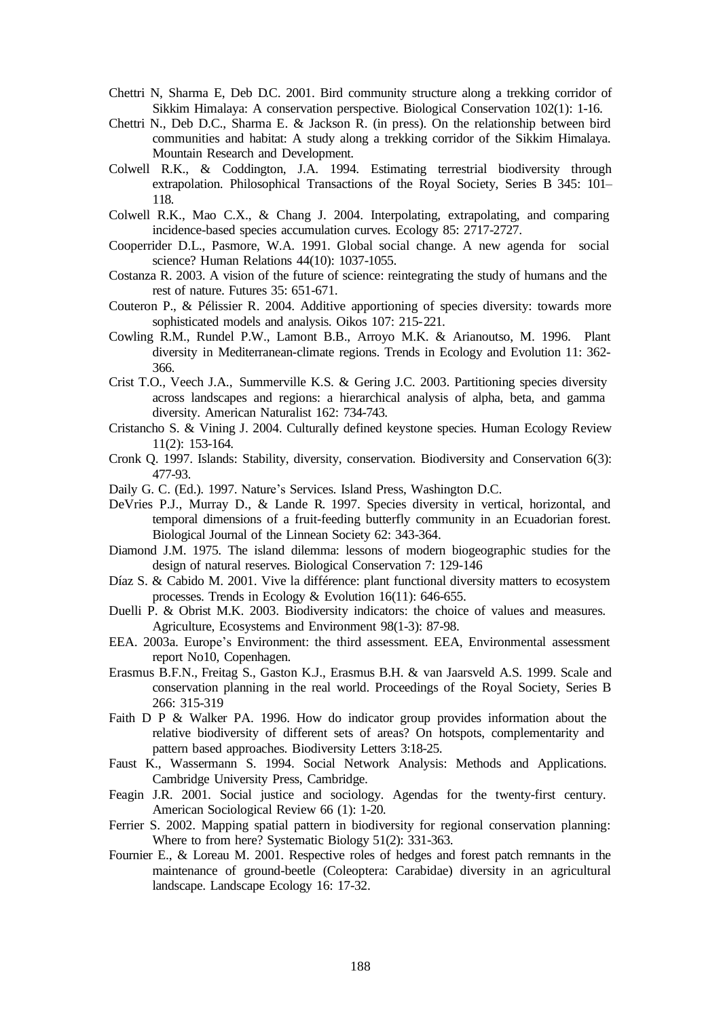- Chettri N, Sharma E, Deb D.C. 2001. Bird community structure along a trekking corridor of Sikkim Himalaya: A conservation perspective. Biological Conservation 102(1): 1-16.
- Chettri N., Deb D.C., Sharma E. & Jackson R. (in press). On the relationship between bird communities and habitat: A study along a trekking corridor of the Sikkim Himalaya. Mountain Research and Development.
- Colwell R.K., & Coddington, J.A. 1994. Estimating terrestrial biodiversity through extrapolation. Philosophical Transactions of the Royal Society, Series B 345: 101– 118.
- Colwell R.K., Mao C.X., & Chang J. 2004. Interpolating, extrapolating, and comparing incidence-based species accumulation curves. Ecology 85: 2717-2727.
- Cooperrider D.L., Pasmore, W.A. 1991. Global social change. A new agenda for social science? Human Relations 44(10): 1037-1055.
- Costanza R. 2003. A vision of the future of science: reintegrating the study of humans and the rest of nature. Futures 35: 651-671.
- Couteron P., & Pélissier R. 2004. Additive apportioning of species diversity: towards more sophisticated models and analysis. Oikos 107: 215-221.
- Cowling R.M., Rundel P.W., Lamont B.B., Arroyo M.K. & Arianoutso, M. 1996. Plant diversity in Mediterranean-climate regions. Trends in Ecology and Evolution 11: 362- 366.
- Crist T.O., Veech J.A., Summerville K.S. & Gering J.C. 2003. Partitioning species diversity across landscapes and regions: a hierarchical analysis of alpha, beta, and gamma diversity. American Naturalist 162: 734-743.
- Cristancho S. & Vining J. 2004. Culturally defined keystone species. Human Ecology Review 11(2): 153-164.
- Cronk Q. 1997. Islands: Stability, diversity, conservation. Biodiversity and Conservation 6(3): 477-93.
- Daily G. C. (Ed.). 1997. Nature's Services. Island Press, Washington D.C.
- DeVries P.J., Murray D., & Lande R. 1997. Species diversity in vertical, horizontal, and temporal dimensions of a fruit-feeding butterfly community in an Ecuadorian forest. Biological Journal of the Linnean Society 62: 343-364.
- Diamond J.M. 1975. The island dilemma: lessons of modern biogeographic studies for the design of natural reserves. Biological Conservation 7: 129-146
- Díaz S. & Cabido M. 2001. Vive la différence: plant functional diversity matters to ecosystem processes. Trends in Ecology & Evolution 16(11): 646-655.
- Duelli P. & Obrist M.K. 2003. Biodiversity indicators: the choice of values and measures. Agriculture, Ecosystems and Environment 98(1-3): 87-98.
- EEA. 2003a. Europe's Environment: the third assessment. EEA, Environmental assessment report No10, Copenhagen.
- Erasmus B.F.N., Freitag S., Gaston K.J., Erasmus B.H. & van Jaarsveld A.S. 1999. Scale and conservation planning in the real world. Proceedings of the Royal Society, Series B 266: 315-319
- Faith D P & Walker PA. 1996. How do indicator group provides information about the relative biodiversity of different sets of areas? On hotspots, complementarity and pattern based approaches. Biodiversity Letters 3:18-25.
- Faust K., Wassermann S. 1994. Social Network Analysis: Methods and Applications. Cambridge University Press, Cambridge.
- Feagin J.R. 2001. Social justice and sociology. Agendas for the twenty-first century. American Sociological Review 66 (1): 1-20.
- Ferrier S. 2002. Mapping spatial pattern in biodiversity for regional conservation planning: Where to from here? Systematic Biology 51(2): 331-363.
- Fournier E., & Loreau M. 2001. Respective roles of hedges and forest patch remnants in the maintenance of ground-beetle (Coleoptera: Carabidae) diversity in an agricultural landscape. Landscape Ecology 16: 17-32.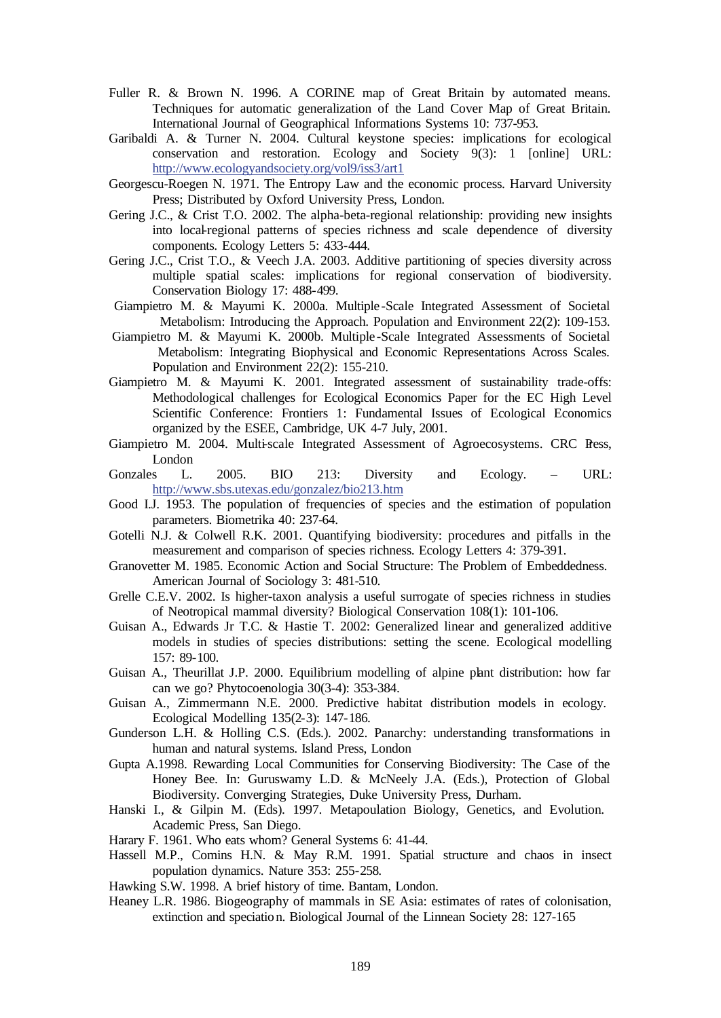- Fuller R. & Brown N. 1996. A CORINE map of Great Britain by automated means. Techniques for automatic generalization of the Land Cover Map of Great Britain. International Journal of Geographical Informations Systems 10: 737-953.
- Garibaldi A. & Turner N. 2004. Cultural keystone species: implications for ecological conservation and restoration. Ecology and Society  $9(3)$ : 1 [online] URL: <http://www.ecologyandsociety.org/vol9/iss3/art1>
- Georgescu-Roegen N. 1971. The Entropy Law and the economic process. Harvard University Press; Distributed by Oxford University Press, London.
- Gering J.C., & Crist T.O. 2002. The alpha-beta-regional relationship: providing new insights into local-regional patterns of species richness and scale dependence of diversity components. Ecology Letters 5: 433-444.
- Gering J.C., Crist T.O., & Veech J.A. 2003. Additive partitioning of species diversity across multiple spatial scales: implications for regional conservation of biodiversity. Conservation Biology 17: 488-499.
- Giampietro M. & Mayumi K. 2000a. Multiple -Scale Integrated Assessment of Societal Metabolism: Introducing the Approach. Population and Environment 22(2): 109-153.
- Giampietro M. & Mayumi K. 2000b. Multiple -Scale Integrated Assessments of Societal Metabolism: Integrating Biophysical and Economic Representations Across Scales. Population and Environment 22(2): 155-210.
- Giampietro M. & Mayumi K. 2001. Integrated assessment of sustainability trade-offs: Methodological challenges for Ecological Economics Paper for the EC High Level Scientific Conference: Frontiers 1: Fundamental Issues of Ecological Economics organized by the ESEE, Cambridge, UK 4-7 July, 2001.
- Giampietro M. 2004. Multi-scale Integrated Assessment of Agroecosystems. CRC Press, London
- Gonzales L. 2005. BIO 213: Diversity and Ecology. URL: <http://www.sbs.utexas.edu/gonzalez/bio213.htm>
- Good I.J. 1953. The population of frequencies of species and the estimation of population parameters. Biometrika 40: 237-64.
- Gotelli N.J. & Colwell R.K. 2001. Quantifying biodiversity: procedures and pitfalls in the measurement and comparison of species richness. Ecology Letters 4: 379-391.
- Granovetter M. 1985. Economic Action and Social Structure: The Problem of Embeddedness. American Journal of Sociology 3: 481-510.
- Grelle C.E.V. 2002. Is higher-taxon analysis a useful surrogate of species richness in studies of Neotropical mammal diversity? Biological Conservation 108(1): 101-106.
- Guisan A., Edwards Jr T.C. & Hastie T. 2002: Generalized linear and generalized additive models in studies of species distributions: setting the scene. Ecological modelling 157: 89-100.
- Guisan A., Theurillat J.P. 2000. Equilibrium modelling of alpine plant distribution: how far can we go? Phytocoenologia 30(3-4): 353-384.
- Guisan A., Zimmermann N.E. 2000. Predictive habitat distribution models in ecology. Ecological Modelling 135(2-3): 147-186.
- Gunderson L.H. & Holling C.S. (Eds.). 2002. Panarchy: understanding transformations in human and natural systems. Island Press, London
- Gupta A.1998. Rewarding Local Communities for Conserving Biodiversity: The Case of the Honey Bee. In: Guruswamy L.D. & McNeely J.A. (Eds.), Protection of Global Biodiversity. Converging Strategies, Duke University Press, Durham.
- Hanski I., & Gilpin M. (Eds). 1997. Metapoulation Biology, Genetics, and Evolution. Academic Press, San Diego.
- Harary F. 1961. Who eats whom? General Systems 6: 41-44.
- Hassell M.P., Comins H.N. & May R.M. 1991. Spatial structure and chaos in insect population dynamics. Nature 353: 255-258.
- Hawking S.W. 1998. A brief history of time. Bantam, London.
- Heaney L.R. 1986. Biogeography of mammals in SE Asia: estimates of rates of colonisation, extinction and speciation. Biological Journal of the Linnean Society 28: 127-165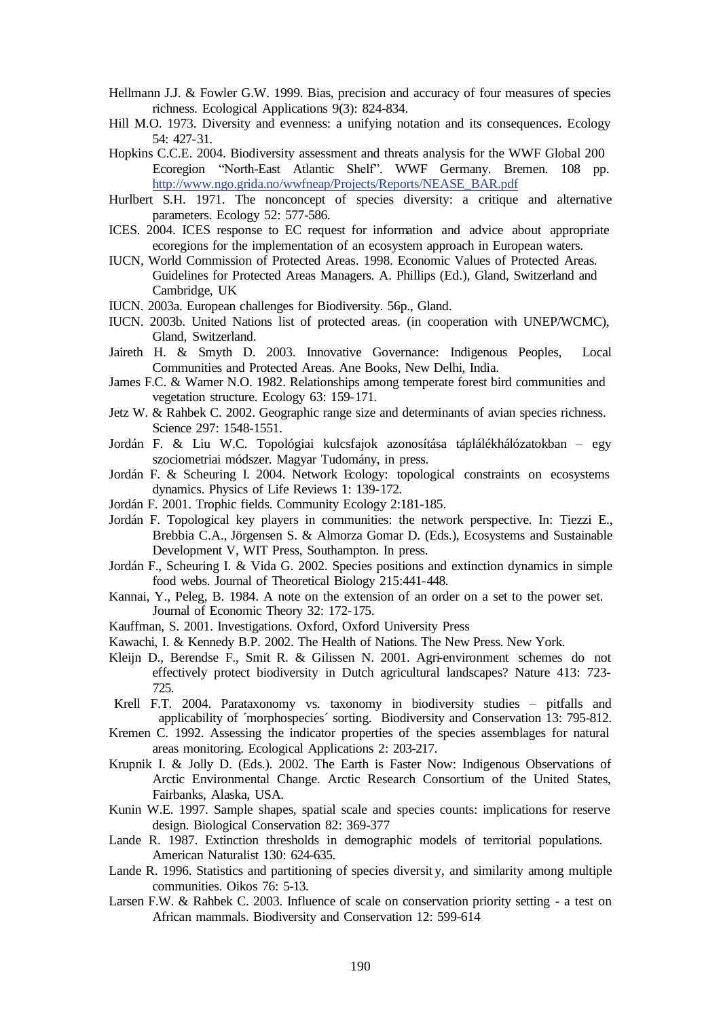- Hellmann J.J. & Fowler G.W. 1999. Bias, precision and accuracy of four measures of species richness. Ecological Applications 9(3): 824-834.
- Hill M.O. 1973. Diversity and evenness: a unifying notation and its consequences. Ecology 54: 427-31.
- Hopkins C.C.E. 2004. Biodiversity assessment and threats analysis for the WWF Global 200 Ecoregion "North-East Atlantic Shelf". WWF Germany. Bremen. 108 pp. [http://www.ngo.grida.no/wwfneap/Projects/Reports/NEASE\\_BAR.pdf](http://www.ngo.grida.no/wwfneap/Projects/Reports/NEASE_BAR.pdf)
- Hurlbert S.H. 1971. The nonconcept of species diversity: a critique and alternative parameters. Ecology 52: 577-586.
- ICES. 2004. ICES response to EC request for information and advice about appropriate ecoregions for the implementation of an ecosystem approach in European waters.
- IUCN, World Commission of Protected Areas. 1998. Economic Values of Protected Areas. Guidelines for Protected Areas Managers. A. Phillips (Ed.), Gland, Switzerland and Cambridge, UK
- IUCN. 2003a. European challenges for Biodiversity. 56p., Gland.
- IUCN. 2003b. United Nations list of protected areas. (in cooperation with UNEP/WCMC), Gland, Switzerland.
- Jaireth H. & Smyth D. 2003. Innovative Governance: Indigenous Peoples, Local Communities and Protected Areas. Ane Books, New Delhi, India.
- James F.C. & Wamer N.O. 1982. Relationships among temperate forest bird communities and vegetation structure. Ecology 63: 159-171.
- Jetz W. & Rahbek C. 2002. Geographic range size and determinants of avian species richness. Science 297: 1548-1551.
- Jordán F. & Liu W.C. Topológiai kulcsfajok azonosítása táplálékhálózatokban egy szociometriai módszer. Magyar Tudomány, in press.
- Jordán F. & Scheuring I. 2004. Network Ecology: topological constraints on ecosystems dynamics. Physics of Life Reviews 1: 139-172.
- Jordán F. 2001. Trophic fields. Community Ecology 2:181-185.
- Jordán F. Topological key players in communities: the network perspective. In: Tiezzi E., Brebbia C.A., Jörgensen S. & Almorza Gomar D. (Eds.), Ecosystems and Sustainable Development V, WIT Press, Southampton. In press.
- Jordán F., Scheuring I. & Vida G. 2002. Species positions and extinction dynamics in simple food webs. Journal of Theoretical Biology 215:441-448.
- Kannai, Y., Peleg, B. 1984. A note on the extension of an order on a set to the power set. Journal of Economic Theory 32: 172-175.
- Kauffman, S. 2001. Investigations. Oxford, Oxford University Press
- Kawachi, I. & Kennedy B.P. 2002. The Health of Nations. The New Press. New York.
- Kleijn D., Berendse F., Smit R. & Gilissen N. 2001. Agri-environment schemes do not effectively protect biodiversity in Dutch agricultural landscapes? Nature 413: 723- 725.
- Krell F.T. 2004. Parataxonomy vs. taxonomy in biodiversity studies pitfalls and applicability of ´morphospecies´ sorting. Biodiversity and Conservation 13: 795-812.
- Kremen C. 1992. Assessing the indicator properties of the species assemblages for natural areas monitoring. Ecological Applications 2: 203-217.
- Krupnik I. & Jolly D. (Eds.). 2002. The Earth is Faster Now: Indigenous Observations of Arctic Environmental Change. Arctic Research Consortium of the United States, Fairbanks, Alaska, USA.
- Kunin W.E. 1997. Sample shapes, spatial scale and species counts: implications for reserve design. Biological Conservation 82: 369-377
- Lande R. 1987. Extinction thresholds in demographic models of territorial populations. American Naturalist 130: 624-635.
- Lande R. 1996. Statistics and partitioning of species diversit y, and similarity among multiple communities. Oikos 76: 5-13.
- Larsen F.W. & Rahbek C. 2003. Influence of scale on conservation priority setting a test on African mammals. Biodiversity and Conservation 12: 599-614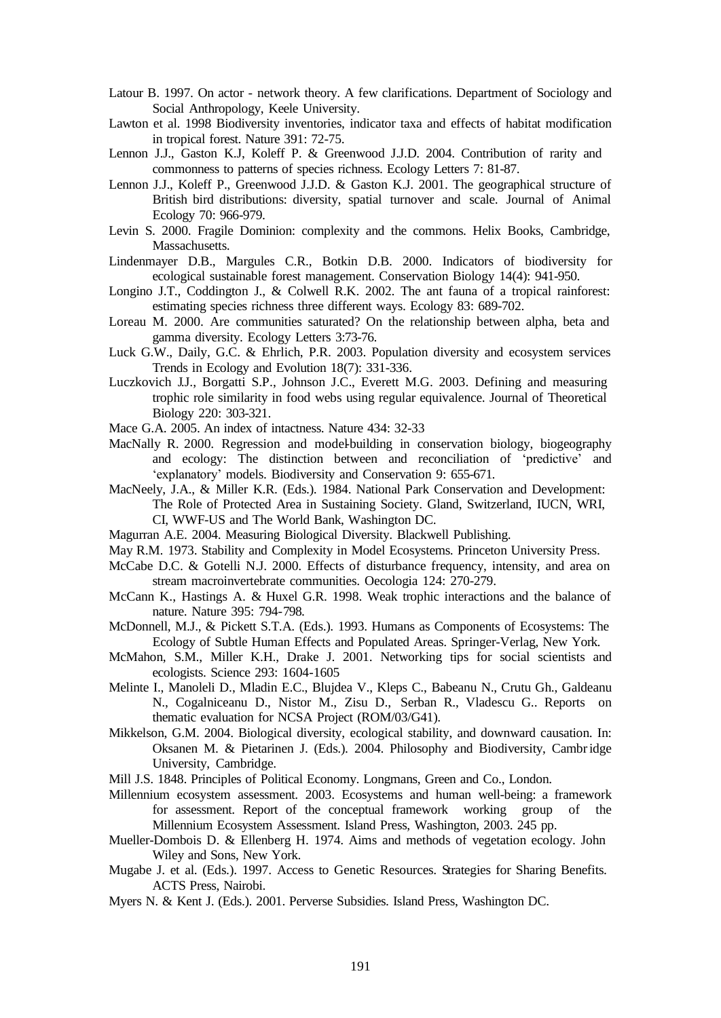- Latour B. 1997. On actor network theory. A few clarifications. Department of Sociology and Social Anthropology, Keele University.
- Lawton et al. 1998 Biodiversity inventories, indicator taxa and effects of habitat modification in tropical forest. Nature 391: 72-75.
- Lennon J.J., Gaston K.J, Koleff P. & Greenwood J.J.D. 2004. Contribution of rarity and commonness to patterns of species richness. Ecology Letters 7: 81-87.
- Lennon J.J., Koleff P., Greenwood J.J.D. & Gaston K.J. 2001. The geographical structure of British bird distributions: diversity, spatial turnover and scale. Journal of Animal Ecology 70: 966-979.
- Levin S. 2000. Fragile Dominion: complexity and the commons. Helix Books, Cambridge, Massachusetts.
- Lindenmayer D.B., Margules C.R., Botkin D.B. 2000. Indicators of biodiversity for ecological sustainable forest management. Conservation Biology 14(4): 941-950.
- Longino J.T., Coddington J., & Colwell R.K. 2002. The ant fauna of a tropical rainforest: estimating species richness three different ways. Ecology 83: 689-702.
- Loreau M. 2000. Are communities saturated? On the relationship between alpha, beta and gamma diversity. Ecology Letters 3:73-76.
- Luck G.W., Daily, G.C. & Ehrlich, P.R. 2003. Population diversity and ecosystem services Trends in Ecology and Evolution 18(7): 331-336.
- Luczkovich J.J., Borgatti S.P., Johnson J.C., Everett M.G. 2003. Defining and measuring trophic role similarity in food webs using regular equivalence. Journal of Theoretical Biology 220: 303-321.
- Mace G.A. 2005. An index of intactness. Nature 434: 32-33
- MacNally R. 2000. Regression and model-building in conservation biology, biogeography and ecology: The distinction between and reconciliation of 'predictive' and 'explanatory' models. Biodiversity and Conservation 9: 655-671.
- MacNeely, J.A., & Miller K.R. (Eds.). 1984. National Park Conservation and Development: The Role of Protected Area in Sustaining Society. Gland, Switzerland, IUCN, WRI, CI, WWF-US and The World Bank, Washington DC.
- Magurran A.E. 2004. Measuring Biological Diversity. Blackwell Publishing.
- May R.M. 1973. Stability and Complexity in Model Ecosystems. Princeton University Press.
- McCabe D.C. & Gotelli N.J. 2000. Effects of disturbance frequency, intensity, and area on stream macroinvertebrate communities. Oecologia 124: 270-279.
- McCann K., Hastings A. & Huxel G.R. 1998. Weak trophic interactions and the balance of nature. Nature 395: 794-798.
- McDonnell, M.J., & Pickett S.T.A. (Eds.). 1993. Humans as Components of Ecosystems: The Ecology of Subtle Human Effects and Populated Areas. Springer-Verlag, New York.
- McMahon, S.M., Miller K.H., Drake J. 2001. Networking tips for social scientists and ecologists. Science 293: 1604-1605
- Melinte I., Manoleli D., Mladin E.C., Blujdea V., Kleps C., Babeanu N., Crutu Gh., Galdeanu N., Cogalniceanu D., Nistor M., Zisu D., Serban R., Vladescu G.. Reports on thematic evaluation for NCSA Project (ROM/03/G41).
- Mikkelson, G.M. 2004. Biological diversity, ecological stability, and downward causation. In: Oksanen M. & Pietarinen J. (Eds.). 2004. Philosophy and Biodiversity, Cambridge University, Cambridge.

Mill J.S. 1848. Principles of Political Economy. Longmans, Green and Co., London.

- Millennium ecosystem assessment. 2003. Ecosystems and human well-being: a framework for assessment. Report of the conceptual framework working group of the Millennium Ecosystem Assessment. Island Press, Washington, 2003. 245 pp.
- Mueller-Dombois D. & Ellenberg H. 1974. Aims and methods of vegetation ecology. John Wiley and Sons, New York.
- Mugabe J. et al. (Eds.). 1997. Access to Genetic Resources. Strategies for Sharing Benefits. ACTS Press, Nairobi.
- Myers N. & Kent J. (Eds.). 2001. Perverse Subsidies. Island Press, Washington DC.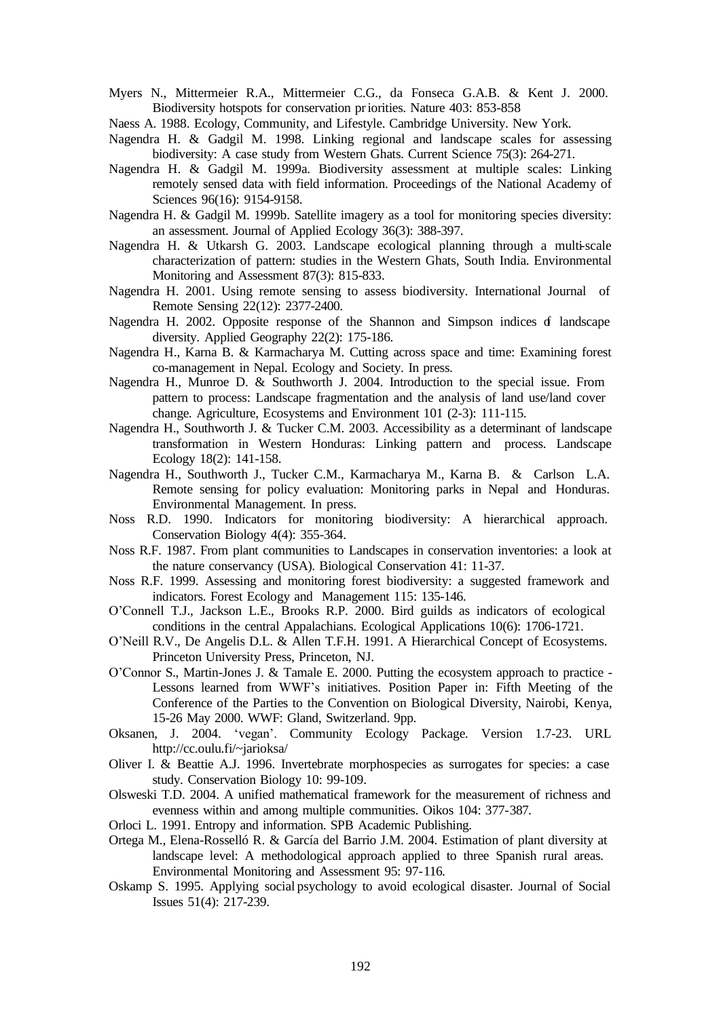Myers N., Mittermeier R.A., Mittermeier C.G., da Fonseca G.A.B. & Kent J. 2000. Biodiversity hotspots for conservation priorities. Nature 403: 853-858

Naess A. 1988. Ecology, Community, and Lifestyle. Cambridge University. New York.

- Nagendra H. & Gadgil M. 1998. Linking regional and landscape scales for assessing biodiversity: A case study from Western Ghats. Current Science 75(3): 264-271.
- Nagendra H. & Gadgil M. 1999a. Biodiversity assessment at multiple scales: Linking remotely sensed data with field information. Proceedings of the National Academy of Sciences 96(16): 9154-9158.
- Nagendra H. & Gadgil M. 1999b. Satellite imagery as a tool for monitoring species diversity: an assessment. Journal of Applied Ecology 36(3): 388-397.
- Nagendra H. & Utkarsh G. 2003. Landscape ecological planning through a multi-scale characterization of pattern: studies in the Western Ghats, South India. Environmental Monitoring and Assessment 87(3): 815-833.
- Nagendra H. 2001. Using remote sensing to assess biodiversity. International Journal of Remote Sensing 22(12): 2377-2400.
- Nagendra H. 2002. Opposite response of the Shannon and Simpson indices  $\sigma$  landscape diversity. Applied Geography 22(2): 175-186.
- Nagendra H., Karna B. & Karmacharya M. Cutting across space and time: Examining forest co-management in Nepal. Ecology and Society. In press.
- Nagendra H., Munroe D. & Southworth J. 2004. Introduction to the special issue. From pattern to process: Landscape fragmentation and the analysis of land use/land cover change. Agriculture, Ecosystems and Environment 101 (2-3): 111-115.
- Nagendra H., Southworth J. & Tucker C.M. 2003. Accessibility as a determinant of landscape transformation in Western Honduras: Linking pattern and process. Landscape Ecology 18(2): 141-158.
- Nagendra H., Southworth J., Tucker C.M., Karmacharya M., Karna B. & Carlson L.A. Remote sensing for policy evaluation: Monitoring parks in Nepal and Honduras. Environmental Management. In press.
- Noss R.D. 1990. Indicators for monitoring biodiversity: A hierarchical approach. Conservation Biology 4(4): 355-364.
- Noss R.F. 1987. From plant communities to Landscapes in conservation inventories: a look at the nature conservancy (USA). Biological Conservation 41: 11-37.
- Noss R.F. 1999. Assessing and monitoring forest biodiversity: a suggested framework and indicators. Forest Ecology and Management 115: 135-146.
- O'Connell T.J., Jackson L.E., Brooks R.P. 2000. Bird guilds as indicators of ecological conditions in the central Appalachians. Ecological Applications 10(6): 1706-1721.
- O'Neill R.V., De Angelis D.L. & Allen T.F.H. 1991. A Hierarchical Concept of Ecosystems. Princeton University Press, Princeton, NJ.
- O'Connor S., Martin-Jones J. & Tamale E. 2000. Putting the ecosystem approach to practice Lessons learned from WWF's initiatives. Position Paper in: Fifth Meeting of the Conference of the Parties to the Convention on Biological Diversity, Nairobi, Kenya, 15-26 May 2000. WWF: Gland, Switzerland. 9pp.
- Oksanen, J. 2004. 'vegan'. Community Ecology Package. Version 1.7-23. URL <http://cc.oulu.fi/~jarioksa/>
- Oliver I. & Beattie A.J. 1996. Invertebrate morphospecies as surrogates for species: a case study. Conservation Biology 10: 99-109.
- Olsweski T.D. 2004. A unified mathematical framework for the measurement of richness and evenness within and among multiple communities. Oikos 104: 377-387.
- Orloci L. 1991. Entropy and information. SPB Academic Publishing.
- Ortega M., Elena-Rosselló R. & García del Barrio J.M. 2004. Estimation of plant diversity at landscape level: A methodological approach applied to three Spanish rural areas. Environmental Monitoring and Assessment 95: 97-116.
- Oskamp S. 1995. Applying social psychology to avoid ecological disaster. Journal of Social Issues 51(4): 217-239.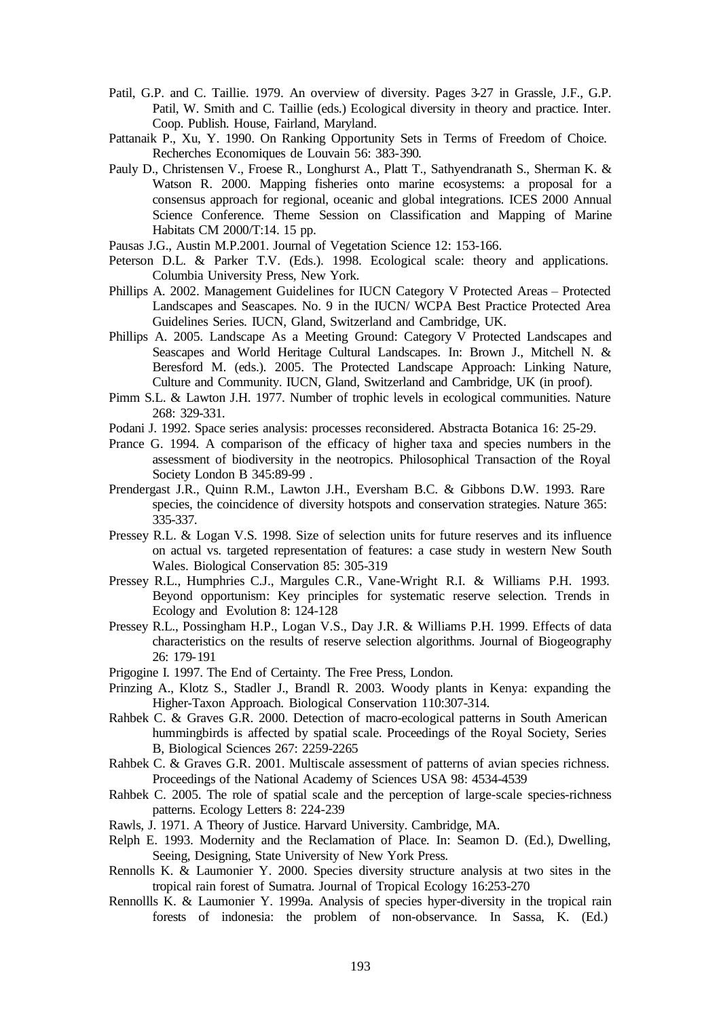- Patil, G.P. and C. Taillie. 1979. An overview of diversity. Pages 3-27 in Grassle, J.F., G.P. Patil, W. Smith and C. Taillie (eds.) Ecological diversity in theory and practice. Inter. Coop. Publish. House, Fairland, Maryland.
- Pattanaik P., Xu, Y. 1990. On Ranking Opportunity Sets in Terms of Freedom of Choice. Recherches Economiques de Louvain 56: 383-390.
- Pauly D., Christensen V., Froese R., Longhurst A., Platt T., Sathyendranath S., Sherman K. & Watson R. 2000. Mapping fisheries onto marine ecosystems: a proposal for a consensus approach for regional, oceanic and global integrations. ICES 2000 Annual Science Conference. Theme Session on Classification and Mapping of Marine Habitats CM 2000/T:14. 15 pp.
- Pausas J.G., Austin M.P.2001. Journal of Vegetation Science 12: 153-166.
- Peterson D.L. & Parker T.V. (Eds.). 1998. Ecological scale: theory and applications. Columbia University Press, New York.
- Phillips A. 2002. Management Guidelines for IUCN Category V Protected Areas Protected Landscapes and Seascapes. No. 9 in the IUCN/ WCPA Best Practice Protected Area Guidelines Series. IUCN, Gland, Switzerland and Cambridge, UK.
- Phillips A. 2005. Landscape As a Meeting Ground: Category V Protected Landscapes and Seascapes and World Heritage Cultural Landscapes. In: Brown J., Mitchell N. & Beresford M. (eds.). 2005. The Protected Landscape Approach: Linking Nature, Culture and Community. IUCN, Gland, Switzerland and Cambridge, UK (in proof).
- Pimm S.L. & Lawton J.H. 1977. Number of trophic levels in ecological communities. Nature 268: 329-331.
- Podani J. 1992. Space series analysis: processes reconsidered. Abstracta Botanica 16: 25-29.
- Prance G. 1994. A comparison of the efficacy of higher taxa and species numbers in the assessment of biodiversity in the neotropics. Philosophical Transaction of the Royal Society London B 345:89-99 .
- Prendergast J.R., Quinn R.M., Lawton J.H., Eversham B.C. & Gibbons D.W. 1993. Rare species, the coincidence of diversity hotspots and conservation strategies. Nature 365: 335-337.
- Pressey R.L. & Logan V.S. 1998. Size of selection units for future reserves and its influence on actual vs. targeted representation of features: a case study in western New South Wales. Biological Conservation 85: 305-319
- Pressey R.L., Humphries C.J., Margules C.R., Vane-Wright R.I. & Williams P.H. 1993. Beyond opportunism: Key principles for systematic reserve selection. Trends in Ecology and Evolution 8: 124-128
- Pressey R.L., Possingham H.P., Logan V.S., Day J.R. & Williams P.H. 1999. Effects of data characteristics on the results of reserve selection algorithms. Journal of Biogeography 26: 179-191
- Prigogine I. 1997. The End of Certainty. The Free Press, London.
- Prinzing A., Klotz S., Stadler J., Brandl R. 2003. Woody plants in Kenya: expanding the Higher-Taxon Approach. Biological Conservation 110:307-314.
- Rahbek C. & Graves G.R. 2000. Detection of macro-ecological patterns in South American hummingbirds is affected by spatial scale. Proceedings of the Royal Society, Series B, Biological Sciences 267: 2259-2265
- Rahbek C. & Graves G.R. 2001. Multiscale assessment of patterns of avian species richness. Proceedings of the National Academy of Sciences USA 98: 4534-4539
- Rahbek C. 2005. The role of spatial scale and the perception of large-scale species-richness patterns. Ecology Letters 8: 224-239
- Rawls, J. 1971. A Theory of Justice. Harvard University. Cambridge, MA.
- Relph E. 1993. Modernity and the Reclamation of Place. In: Seamon D. (Ed.), Dwelling, Seeing, Designing, State University of New York Press.
- Rennolls K. & Laumonier Y. 2000. Species diversity structure analysis at two sites in the tropical rain forest of Sumatra. Journal of Tropical Ecology 16:253-270
- Rennollls K. & Laumonier Y. 1999a. Analysis of species hyper-diversity in the tropical rain forests of indonesia: the problem of non-observance. In Sassa, K. (Ed.)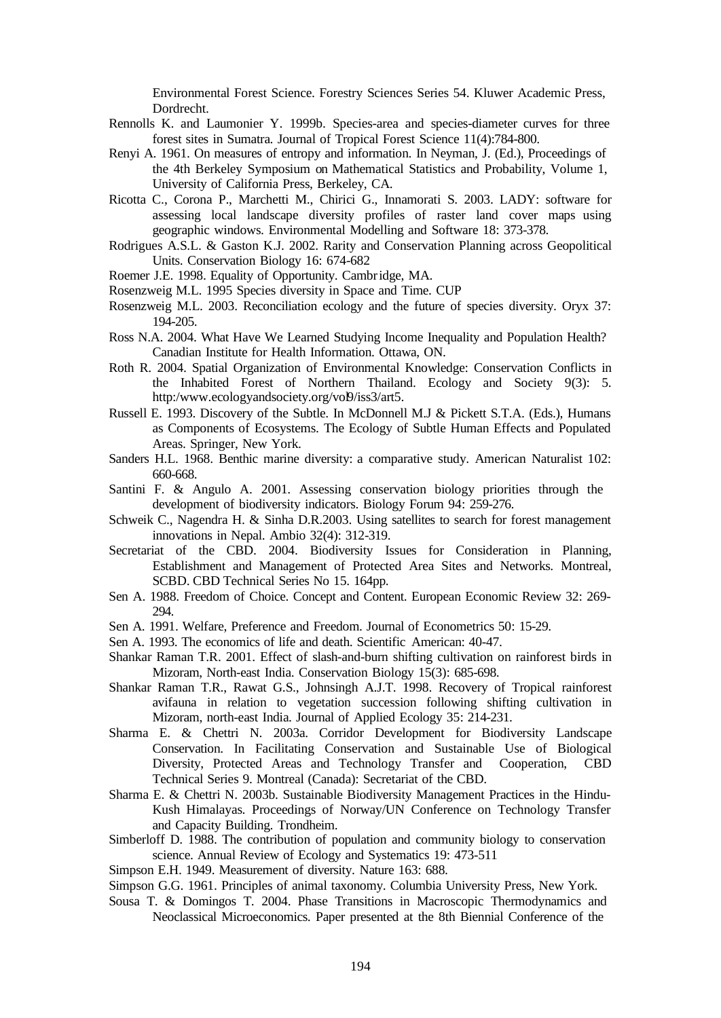Environmental Forest Science. Forestry Sciences Series 54. Kluwer Academic Press, Dordrecht.

- Rennolls K. and Laumonier Y. 1999b. Species-area and species-diameter curves for three forest sites in Sumatra. Journal of Tropical Forest Science 11(4):784-800.
- Renyi A. 1961. On measures of entropy and information. In Neyman, J. (Ed.), Proceedings of the 4th Berkeley Symposium on Mathematical Statistics and Probability, Volume 1, University of California Press, Berkeley, CA.
- Ricotta C., Corona P., Marchetti M., Chirici G., Innamorati S. 2003. LADY: software for assessing local landscape diversity profiles of raster land cover maps using geographic windows. Environmental Modelling and Software 18: 373-378.
- Rodrigues A.S.L. & Gaston K.J. 2002. Rarity and Conservation Planning across Geopolitical Units. Conservation Biology 16: 674-682
- Roemer J.E. 1998. Equality of Opportunity. Cambridge, MA.
- Rosenzweig M.L. 1995 Species diversity in Space and Time. CUP
- Rosenzweig M.L. 2003. Reconciliation ecology and the future of species diversity. Oryx 37: 194-205.
- Ross N.A. 2004. What Have We Learned Studying Income Inequality and Population Health? Canadian Institute for Health Information. Ottawa, ON.
- Roth R. 2004. Spatial Organization of Environmental Knowledge: Conservation Conflicts in the Inhabited Forest of Northern Thailand. Ecology and Society 9(3): 5. [http:/www.ecologyandsociety.org/vol9/iss3/art5.](http://www.ecologyandsociety.org/vol9/iss3/art5)
- Russell E. 1993. Discovery of the Subtle. In McDonnell M.J & Pickett S.T.A. (Eds.), Humans as Components of Ecosystems. The Ecology of Subtle Human Effects and Populated Areas. Springer, New York.
- Sanders H.L. 1968. Benthic marine diversity: a comparative study. American Naturalist 102: 660-668.
- Santini F. & Angulo A. 2001. Assessing conservation biology priorities through the development of biodiversity indicators. Biology Forum 94: 259-276.
- Schweik C., Nagendra H. & Sinha D.R.2003. Using satellites to search for forest management innovations in Nepal. Ambio 32(4): 312-319.
- Secretariat of the CBD. 2004. Biodiversity Issues for Consideration in Planning, Establishment and Management of Protected Area Sites and Networks. Montreal, SCBD. CBD Technical Series No 15. 164pp.
- Sen A. 1988. Freedom of Choice. Concept and Content. European Economic Review 32: 269- 294.
- Sen A. 1991. Welfare, Preference and Freedom. Journal of Econometrics 50: 15-29.
- Sen A. 1993. The economics of life and death. Scientific American: 40-47.
- Shankar Raman T.R. 2001. Effect of slash-and-burn shifting cultivation on rainforest birds in Mizoram, North-east India. Conservation Biology 15(3): 685-698.
- Shankar Raman T.R., Rawat G.S., Johnsingh A.J.T. 1998. Recovery of Tropical rainforest avifauna in relation to vegetation succession following shifting cultivation in Mizoram, north-east India. Journal of Applied Ecology 35: 214-231.
- Sharma E. & Chettri N. 2003a. Corridor Development for Biodiversity Landscape Conservation. In Facilitating Conservation and Sustainable Use of Biological Diversity, Protected Areas and Technology Transfer and Cooperation, CBD Technical Series 9. Montreal (Canada): Secretariat of the CBD.
- Sharma E. & Chettri N. 2003b. Sustainable Biodiversity Management Practices in the Hindu-Kush Himalayas. Proceedings of Norway/UN Conference on Technology Transfer and Capacity Building. Trondheim.
- Simberloff D. 1988. The contribution of population and community biology to conservation science. Annual Review of Ecology and Systematics 19: 473-511
- Simpson E.H. 1949. Measurement of diversity. Nature 163: 688.
- Simpson G.G. 1961. Principles of animal taxonomy. Columbia University Press, New York.
- Sousa T. & Domingos T. 2004. Phase Transitions in Macroscopic Thermodynamics and Neoclassical Microeconomics. Paper presented at the 8th Biennial Conference of the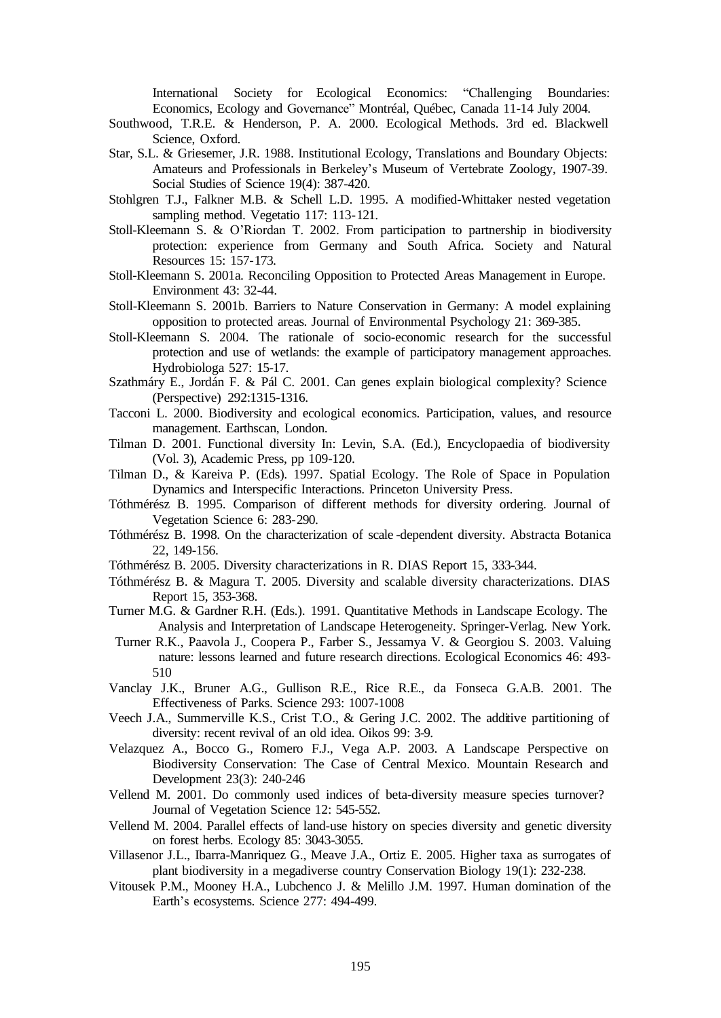International Society for Ecological Economics: "Challenging Boundaries: Economics, Ecology and Governance" Montréal, Québec, Canada 11-14 July 2004.

- Southwood, T.R.E. & Henderson, P. A. 2000. Ecological Methods. 3rd ed. Blackwell Science, Oxford.
- Star, S.L. & Griesemer, J.R. 1988. Institutional Ecology, Translations and Boundary Objects: Amateurs and Professionals in Berkeley's Museum of Vertebrate Zoology, 1907-39. Social Studies of Science 19(4): 387-420.
- Stohlgren T.J., Falkner M.B. & Schell L.D. 1995. A modified-Whittaker nested vegetation sampling method. Vegetatio 117: 113-121.
- Stoll-Kleemann S. & O'Riordan T. 2002. From participation to partnership in biodiversity protection: experience from Germany and South Africa. Society and Natural Resources 15: 157-173.
- Stoll-Kleemann S. 2001a. Reconciling Opposition to Protected Areas Management in Europe. Environment 43: 32-44.
- Stoll-Kleemann S. 2001b. Barriers to Nature Conservation in Germany: A model explaining opposition to protected areas. Journal of Environmental Psychology 21: 369-385.
- Stoll-Kleemann S. 2004. The rationale of socio-economic research for the successful protection and use of wetlands: the example of participatory management approaches. Hydrobiologa 527: 15-17.
- Szathmáry E., Jordán F. & Pál C. 2001. Can genes explain biological complexity? Science (Perspective) 292:1315-1316.
- Tacconi L. 2000. Biodiversity and ecological economics. Participation, values, and resource management. Earthscan, London.
- Tilman D. 2001. Functional diversity In: Levin, S.A. (Ed.), Encyclopaedia of biodiversity (Vol. 3), Academic Press, pp 109-120.
- Tilman D., & Kareiva P. (Eds). 1997. Spatial Ecology. The Role of Space in Population Dynamics and Interspecific Interactions. Princeton University Press.
- Tóthmérész B. 1995. Comparison of different methods for diversity ordering. Journal of Vegetation Science 6: 283-290.
- Tóthmérész B. 1998. On the characterization of scale -dependent diversity. Abstracta Botanica 22, 149-156.
- Tóthmérész B. 2005. Diversity characterizations in R. DIAS Report 15, 333-344.
- Tóthmérész B. & Magura T. 2005. Diversity and scalable diversity characterizations. DIAS Report 15, 353-368.
- Turner M.G. & Gardner R.H. (Eds.). 1991. Quantitative Methods in Landscape Ecology. The Analysis and Interpretation of Landscape Heterogeneity. Springer-Verlag. New York.
- Turner R.K., Paavola J., Coopera P., Farber S., Jessamya V. & Georgiou S. 2003. Valuing nature: lessons learned and future research directions. Ecological Economics 46: 493- 510
- Vanclay J.K., Bruner A.G., Gullison R.E., Rice R.E., da Fonseca G.A.B. 2001. The Effectiveness of Parks. Science 293: 1007-1008
- Veech J.A., Summerville K.S., Crist T.O., & Gering J.C. 2002. The additive partitioning of diversity: recent revival of an old idea. Oikos 99: 3-9.
- Velazquez A., Bocco G., Romero F.J., Vega A.P. 2003. A Landscape Perspective on Biodiversity Conservation: The Case of Central Mexico. Mountain Research and Development 23(3): 240-246
- Vellend M. 2001. Do commonly used indices of beta-diversity measure species turnover? Journal of Vegetation Science 12: 545-552.
- Vellend M. 2004. Parallel effects of land-use history on species diversity and genetic diversity on forest herbs. Ecology 85: 3043-3055.
- Villasenor J.L., Ibarra-Manriquez G., Meave J.A., Ortiz E. 2005. Higher taxa as surrogates of plant biodiversity in a megadiverse country Conservation Biology 19(1): 232-238.
- Vitousek P.M., Mooney H.A., Lubchenco J. & Melillo J.M. 1997. Human domination of the Earth's ecosystems. Science 277: 494-499.